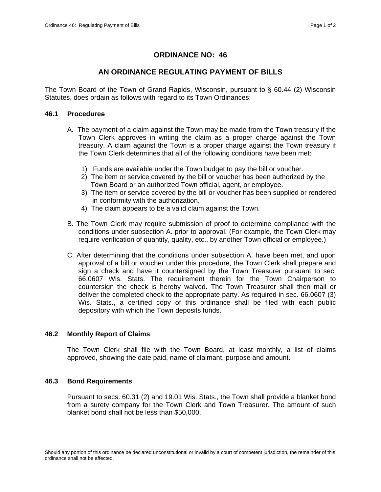# **ORDINANCE NO: 46**

# **AN ORDINANCE REGULATING PAYMENT OF BILLS**

The Town Board of the Town of Grand Rapids, Wisconsin, pursuant to  $\S$  60.44 (2) Wisconsin Statutes, does ordain as follows with regard to its Town Ordinances:

## **46.1 Procedures**

- A. The payment of a claim against the Town may be made from the Town treasury if the Town Clerk approves in writing the claim as a proper charge against the Town treasury. A claim against the Town is a proper charge against the Town treasury if the Town Clerk determines that all of the following conditions have been met:
	- 1) Funds are available under the Town budget to pay the bill or voucher.
	- 2) The item or service covered by the bill or voucher has been authorized by the Town Board or an authorized Town official, agent, or employee.
	- 3) The item or service covered by the bill or voucher has been supplied or rendered in conformity with the authorization.
	- 4) The claim appears to be a valid claim against the Town.
- B. The Town Clerk may require submission of proof to determine compliance with the conditions under subsection A. prior to approval. (For example, the Town Clerk may require verification of quantity, quality, etc., by another Town official or employee.)
- C. After determining that the conditions under subsection A. have been met, and upon approval of a bill or voucher under this procedure, the Town Clerk shall prepare and sign a check and have it countersigned by the Town Treasurer pursuant to sec. 66.0607 Wis. Stats. The requirement therein for the Town Chairperson to countersign the check is hereby waived. The Town Treasurer shall then mail or deliver the completed check to the appropriate party. As required in sec. 66.0607 (3) Wis. Stats., a certified copy of this ordinance shall be filed with each public depository with which the Town deposits funds.

## **46.2 Monthly Report of Claims**

 The Town Clerk shall file with the Town Board, at least monthly, a list of claims approved, showing the date paid, name of claimant, purpose and amount.

## **46.3 Bond Requirements**

 Pursuant to secs. 60.31 (2) and 19.01 Wis. Stats., the Town shall provide a blanket bond from a surety company for the Town Clerk and Town Treasurer. The amount of such blanket bond shall not be less than \$50,000.

\_\_\_\_\_\_\_\_\_\_\_\_\_\_\_\_\_\_\_\_\_\_\_\_\_\_\_\_\_\_\_\_\_\_\_\_\_\_\_\_\_\_\_\_\_\_\_\_\_\_\_\_\_\_\_\_\_\_\_\_\_\_\_\_\_\_\_\_\_\_\_\_\_\_\_\_\_\_\_\_\_\_\_\_\_\_\_\_\_\_\_\_\_\_\_\_\_\_\_\_\_\_\_\_\_ Should any portion of this ordinance be declared unconstitutional or invalid by a court of competent jurisdiction, the remainder of this ordinance shall not be affected.